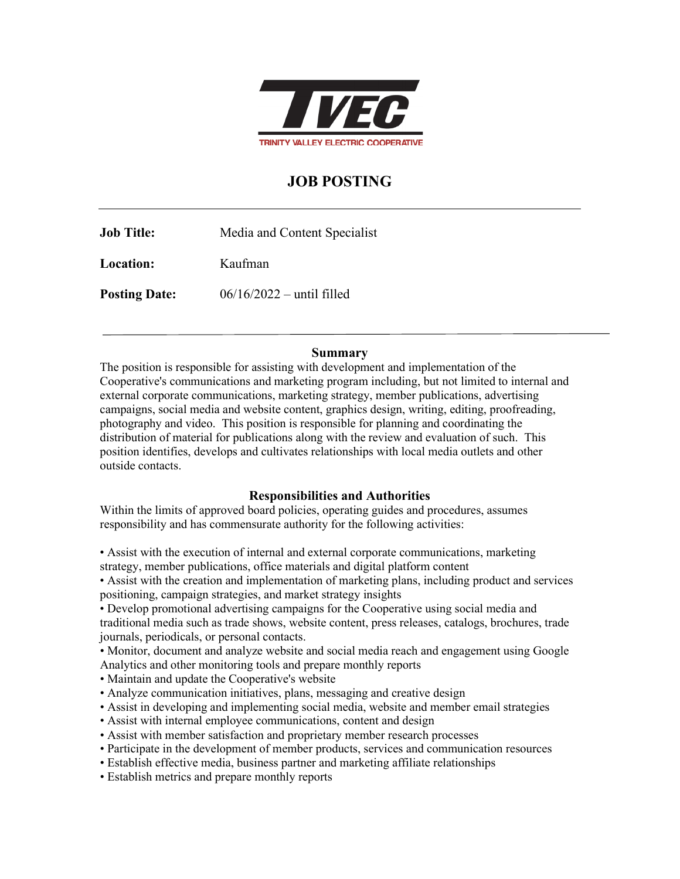

# **JOB POSTING**

**Job Title:** Media and Content Specialist **Location:** Kaufman **Posting Date:**  $06/16/2022 - \text{until filled}$ 

#### **Summary**

The position is responsible for assisting with development and implementation of the Cooperative's communications and marketing program including, but not limited to internal and external corporate communications, marketing strategy, member publications, advertising campaigns, social media and website content, graphics design, writing, editing, proofreading, photography and video. This position is responsible for planning and coordinating the distribution of material for publications along with the review and evaluation of such. This position identifies, develops and cultivates relationships with local media outlets and other outside contacts.

## **Responsibilities and Authorities**

Within the limits of approved board policies, operating guides and procedures, assumes responsibility and has commensurate authority for the following activities:

• Assist with the execution of internal and external corporate communications, marketing strategy, member publications, office materials and digital platform content

• Assist with the creation and implementation of marketing plans, including product and services positioning, campaign strategies, and market strategy insights

• Develop promotional advertising campaigns for the Cooperative using social media and traditional media such as trade shows, website content, press releases, catalogs, brochures, trade journals, periodicals, or personal contacts.

• Monitor, document and analyze website and social media reach and engagement using Google Analytics and other monitoring tools and prepare monthly reports

- Maintain and update the Cooperative's website
- Analyze communication initiatives, plans, messaging and creative design
- Assist in developing and implementing social media, website and member email strategies
- Assist with internal employee communications, content and design
- Assist with member satisfaction and proprietary member research processes
- Participate in the development of member products, services and communication resources
- Establish effective media, business partner and marketing affiliate relationships
- Establish metrics and prepare monthly reports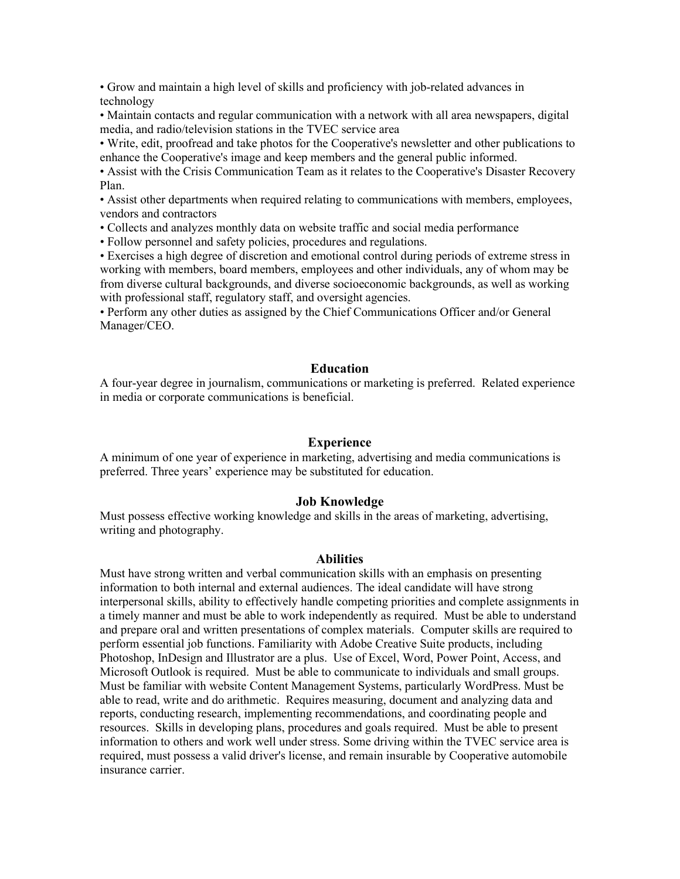• Grow and maintain a high level of skills and proficiency with job-related advances in technology

• Maintain contacts and regular communication with a network with all area newspapers, digital media, and radio/television stations in the TVEC service area

• Write, edit, proofread and take photos for the Cooperative's newsletter and other publications to enhance the Cooperative's image and keep members and the general public informed.

• Assist with the Crisis Communication Team as it relates to the Cooperative's Disaster Recovery Plan.

• Assist other departments when required relating to communications with members, employees, vendors and contractors

• Collects and analyzes monthly data on website traffic and social media performance

• Follow personnel and safety policies, procedures and regulations.

• Exercises a high degree of discretion and emotional control during periods of extreme stress in working with members, board members, employees and other individuals, any of whom may be from diverse cultural backgrounds, and diverse socioeconomic backgrounds, as well as working with professional staff, regulatory staff, and oversight agencies.

• Perform any other duties as assigned by the Chief Communications Officer and/or General Manager/CEO.

#### **Education**

A four-year degree in journalism, communications or marketing is preferred. Related experience in media or corporate communications is beneficial.

#### **Experience**

A minimum of one year of experience in marketing, advertising and media communications is preferred. Three years' experience may be substituted for education.

#### **Job Knowledge**

Must possess effective working knowledge and skills in the areas of marketing, advertising, writing and photography.

#### **Abilities**

Must have strong written and verbal communication skills with an emphasis on presenting information to both internal and external audiences. The ideal candidate will have strong interpersonal skills, ability to effectively handle competing priorities and complete assignments in a timely manner and must be able to work independently as required. Must be able to understand and prepare oral and written presentations of complex materials. Computer skills are required to perform essential job functions. Familiarity with Adobe Creative Suite products, including Photoshop, InDesign and Illustrator are a plus. Use of Excel, Word, Power Point, Access, and Microsoft Outlook is required. Must be able to communicate to individuals and small groups. Must be familiar with website Content Management Systems, particularly WordPress. Must be able to read, write and do arithmetic. Requires measuring, document and analyzing data and reports, conducting research, implementing recommendations, and coordinating people and resources. Skills in developing plans, procedures and goals required. Must be able to present information to others and work well under stress. Some driving within the TVEC service area is required, must possess a valid driver's license, and remain insurable by Cooperative automobile insurance carrier.